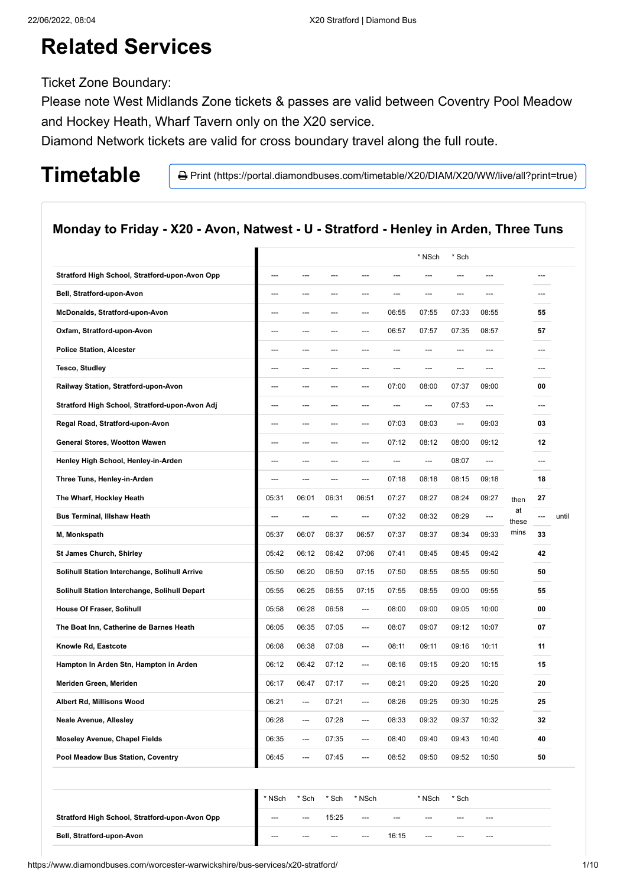# **Related Services**

Ticket Zone Boundary:

Please note West Midlands Zone tickets & passes are valid between Coventry Pool Meadow and Hockey Heath, Wharf Tavern only on the X20 service.

Diamond Network tickets are valid for cross boundary travel along the full route.

Timetable **Print** (https://portal.diamondbuses.com/timetable/X20/DIAM/X20/WW/live/all?print=true)

### **Monday to Friday - X20 - Avon, Natwest - U - Stratford - Henley in Arden, Three Tuns**

|                                                |       |                        |       |                |       | * NSch         | * Sch |                |             |     |       |
|------------------------------------------------|-------|------------------------|-------|----------------|-------|----------------|-------|----------------|-------------|-----|-------|
| Stratford High School, Stratford-upon-Avon Opp | ---   | $---$                  | ---   | $---$          | $---$ | $---$          | ---   | $---$          |             | --- |       |
| Bell, Stratford-upon-Avon                      | ---   | ---                    | ---   | ---            | ---   | ---            | ---   | ---            |             | --- |       |
| McDonalds, Stratford-upon-Avon                 | ---   | ---                    | ---   | ---            | 06:55 | 07:55          | 07:33 | 08:55          |             | 55  |       |
| Oxfam, Stratford-upon-Avon                     | ---   | ---                    | ---   | $---$          | 06:57 | 07:57          | 07:35 | 08:57          |             | 57  |       |
| <b>Police Station, Alcester</b>                | ---   | ---                    | ---   | ---            | ---   | $---$          | ---   | ---            |             | --- |       |
| Tesco, Studley                                 | ---   | ---                    | ---   | ---            | ---   | ---            | ---   | ---            |             |     |       |
| Railway Station, Stratford-upon-Avon           | ---   | ---                    | ---   | ---            | 07:00 | 08:00          | 07:37 | 09:00          |             | 00  |       |
| Stratford High School, Stratford-upon-Avon Adj | ---   | ---                    | ---   | ---            | ---   | $\overline{a}$ | 07:53 | $\overline{a}$ |             | --- |       |
| Regal Road, Stratford-upon-Avon                | ---   | ---                    | ---   | ---            | 07:03 | 08:03          | ---   | 09:03          |             | 03  |       |
| General Stores, Wootton Wawen                  | ---   | ---                    | ---   | ---            | 07:12 | 08:12          | 08:00 | 09:12          |             | 12  |       |
| Henley High School, Henley-in-Arden            | ---   | ---                    | ---   | ---            | ---   | $\overline{a}$ | 08:07 | $\overline{a}$ |             | --- |       |
| Three Tuns, Henley-in-Arden                    | ---   | $\qquad \qquad \cdots$ | ---   | ---            | 07:18 | 08:18          | 08:15 | 09:18          |             | 18  |       |
| The Wharf, Hockley Heath                       | 05:31 | 06:01                  | 06:31 | 06:51          | 07:27 | 08:27          | 08:24 | 09:27          | then        | 27  |       |
| <b>Bus Terminal, Illshaw Heath</b>             | ---   | $---$                  | ---   | ---            | 07:32 | 08:32          | 08:29 | ---            | at<br>these | --- | until |
| M, Monkspath                                   | 05:37 | 06:07                  | 06:37 | 06:57          | 07:37 | 08:37          | 08:34 | 09:33          | mins        | 33  |       |
| <b>St James Church, Shirley</b>                | 05:42 | 06:12                  | 06:42 | 07:06          | 07:41 | 08:45          | 08:45 | 09:42          |             | 42  |       |
| Solihull Station Interchange, Solihull Arrive  | 05:50 | 06:20                  | 06:50 | 07:15          | 07:50 | 08:55          | 08:55 | 09:50          |             | 50  |       |
| Solihull Station Interchange, Solihull Depart  | 05:55 | 06:25                  | 06:55 | 07:15          | 07:55 | 08:55          | 09:00 | 09:55          |             | 55  |       |
| House Of Fraser, Solihull                      | 05:58 | 06:28                  | 06:58 | ---            | 08:00 | 09:00          | 09:05 | 10:00          |             | 00  |       |
| The Boat Inn, Catherine de Barnes Heath        | 06:05 | 06:35                  | 07:05 | ---            | 08:07 | 09:07          | 09:12 | 10:07          |             | 07  |       |
| Knowle Rd, Eastcote                            | 06:08 | 06:38                  | 07:08 | ---            | 08:11 | 09:11          | 09:16 | 10:11          |             | 11  |       |
| Hampton In Arden Stn, Hampton in Arden         | 06:12 | 06:42                  | 07:12 | $\overline{a}$ | 08:16 | 09:15          | 09:20 | 10:15          |             | 15  |       |
| Meriden Green, Meriden                         | 06:17 | 06:47                  | 07:17 | $\overline{a}$ | 08:21 | 09:20          | 09:25 | 10:20          |             | 20  |       |
| Albert Rd, Millisons Wood                      | 06:21 | $---$                  | 07:21 | ---            | 08:26 | 09:25          | 09:30 | 10:25          |             | 25  |       |
| <b>Neale Avenue, Allesley</b>                  | 06:28 | $\overline{a}$         | 07:28 | $\overline{a}$ | 08:33 | 09:32          | 09:37 | 10:32          |             | 32  |       |
| <b>Moseley Avenue, Chapel Fields</b>           | 06:35 | ---                    | 07:35 | ---            | 08:40 | 09:40          | 09:43 | 10:40          |             | 40  |       |
| Pool Meadow Bus Station, Coventry              | 06:45 | $---$                  | 07:45 | $\overline{a}$ | 08:52 | 09:50          | 09:52 | 10:50          |             | 50  |       |

|                                                | * NSch | * Sch | * Sch   | * NSch |       | * NSch | * Sch |       |  |
|------------------------------------------------|--------|-------|---------|--------|-------|--------|-------|-------|--|
| Stratford High School, Stratford-upon-Avon Opp | $---$  | $---$ | 15:25   | $---$  | $---$ | ---    | $--$  | $---$ |  |
| Bell, Stratford-upon-Avon                      | $---$  | $--$  | $- - -$ | $---$  | 16:15 | $---$  | $--$  | $---$ |  |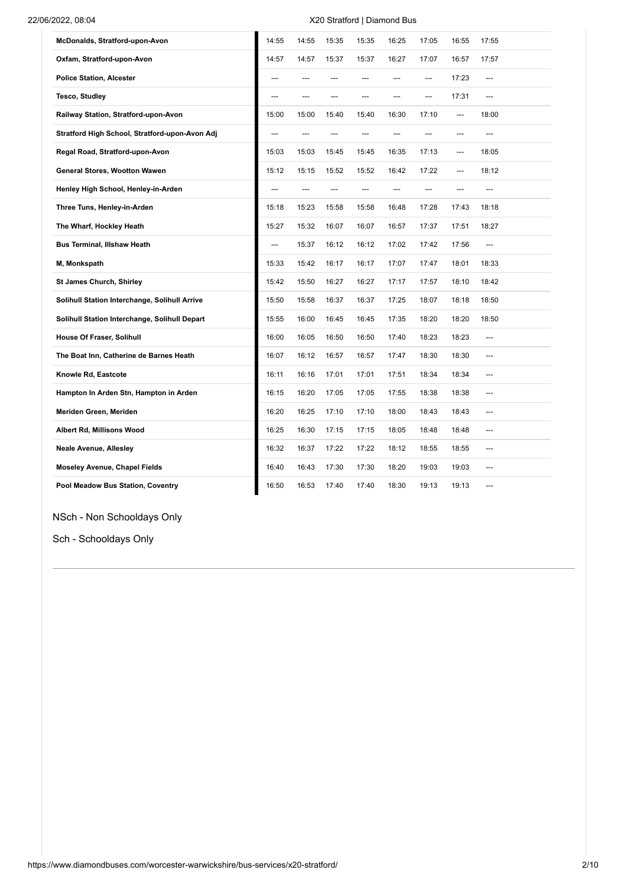### 22/06/2022, 08:04 X20 Stratford | Diamond Bus

| McDonalds, Stratford-upon-Avon                 | 14:55 | 14:55 | 15:35 | 15:35 | 16:25 | 17:05 | 16:55 | 17:55 |
|------------------------------------------------|-------|-------|-------|-------|-------|-------|-------|-------|
| Oxfam, Stratford-upon-Avon                     | 14:57 | 14:57 | 15:37 | 15:37 | 16:27 | 17:07 | 16:57 | 17:57 |
| <b>Police Station, Alcester</b>                | ---   | ---   | ---   | ---   | ---   | ---   | 17:23 | ---   |
| <b>Tesco, Studley</b>                          | ---   | ---   | ---   | ---   | ---   | ---   | 17:31 | ---   |
| Railway Station, Stratford-upon-Avon           | 15:00 | 15:00 | 15:40 | 15:40 | 16:30 | 17:10 | ---   | 18:00 |
| Stratford High School, Stratford-upon-Avon Adj | ---   | ---   | ---   | ---   | ---   | ---   | ---   | ---   |
| Regal Road, Stratford-upon-Avon                | 15:03 | 15:03 | 15:45 | 15:45 | 16:35 | 17:13 | ---   | 18:05 |
| General Stores, Wootton Wawen                  | 15:12 | 15:15 | 15:52 | 15:52 | 16:42 | 17:22 | ---   | 18:12 |
| Henley High School, Henley-in-Arden            | ---   | ---   | ---   | ---   | ---   | ---   | ---   | ---   |
| Three Tuns, Henley-in-Arden                    | 15:18 | 15:23 | 15:58 | 15:58 | 16:48 | 17:28 | 17:43 | 18:18 |
| The Wharf, Hockley Heath                       | 15:27 | 15:32 | 16:07 | 16:07 | 16:57 | 17:37 | 17:51 | 18:27 |
| <b>Bus Terminal, Illshaw Heath</b>             | ---   | 15:37 | 16:12 | 16:12 | 17:02 | 17:42 | 17:56 | ---   |
| M, Monkspath                                   | 15:33 | 15:42 | 16:17 | 16:17 | 17:07 | 17:47 | 18:01 | 18:33 |
| <b>St James Church, Shirley</b>                | 15:42 | 15:50 | 16:27 | 16:27 | 17:17 | 17:57 | 18:10 | 18:42 |
| Solihull Station Interchange, Solihull Arrive  | 15:50 | 15:58 | 16:37 | 16:37 | 17:25 | 18:07 | 18:18 | 18:50 |
| Solihull Station Interchange, Solihull Depart  | 15:55 | 16:00 | 16:45 | 16:45 | 17:35 | 18:20 | 18:20 | 18:50 |
| House Of Fraser, Solihull                      | 16:00 | 16:05 | 16:50 | 16:50 | 17:40 | 18:23 | 18:23 | ---   |
| The Boat Inn, Catherine de Barnes Heath        | 16:07 | 16:12 | 16:57 | 16:57 | 17:47 | 18:30 | 18:30 | ---   |
| Knowle Rd, Eastcote                            | 16:11 | 16:16 | 17:01 | 17:01 | 17:51 | 18:34 | 18:34 | ---   |
| Hampton In Arden Stn, Hampton in Arden         | 16:15 | 16:20 | 17:05 | 17:05 | 17:55 | 18:38 | 18:38 | ---   |
| Meriden Green, Meriden                         | 16:20 | 16:25 | 17:10 | 17:10 | 18:00 | 18:43 | 18:43 | ---   |
| Albert Rd, Millisons Wood                      | 16:25 | 16:30 | 17:15 | 17:15 | 18:05 | 18:48 | 18:48 | ---   |
| <b>Neale Avenue, Allesley</b>                  | 16:32 | 16:37 | 17:22 | 17:22 | 18:12 | 18:55 | 18:55 | ---   |
| <b>Moseley Avenue, Chapel Fields</b>           | 16:40 | 16:43 | 17:30 | 17:30 | 18:20 | 19:03 | 19:03 | ---   |
| Pool Meadow Bus Station, Coventry              | 16:50 | 16:53 | 17:40 | 17:40 | 18:30 | 19:13 | 19:13 | ---   |

NSch - Non Schooldays Only

Sch - Schooldays Only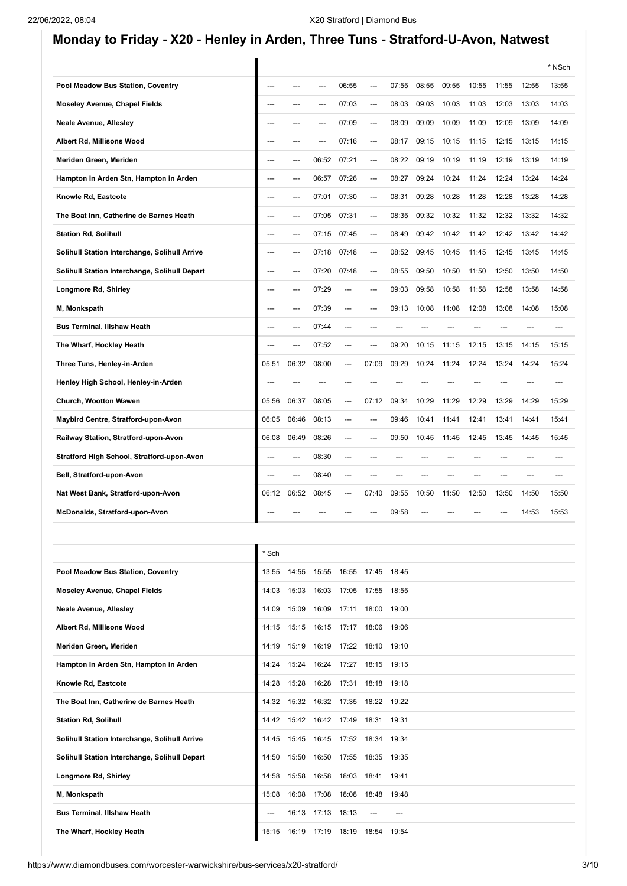## **Monday to Friday - X20 - Henley in Arden, Three Tuns - Stratford-U-Avon, Natwest**

|       |       |       |       |       |       |       |       |       |       |       | * NSch |
|-------|-------|-------|-------|-------|-------|-------|-------|-------|-------|-------|--------|
|       |       |       | 06:55 | ---   | 07:55 | 08:55 | 09:55 | 10:55 | 11:55 | 12:55 | 13:55  |
|       |       |       | 07:03 | ---   | 08:03 | 09:03 | 10:03 | 11:03 | 12:03 | 13:03 | 14:03  |
|       |       | ---   | 07:09 | ---   | 08:09 | 09:09 | 10:09 | 11:09 | 12:09 | 13:09 | 14:09  |
|       |       |       | 07:16 | ---   | 08:17 | 09:15 | 10:15 | 11:15 | 12:15 | 13:15 | 14:15  |
|       |       | 06:52 | 07:21 | ---   | 08:22 | 09:19 | 10:19 | 11:19 | 12:19 | 13:19 | 14:19  |
|       |       | 06:57 | 07:26 | ---   | 08:27 | 09:24 | 10:24 | 11:24 | 12:24 | 13:24 | 14:24  |
|       |       | 07:01 | 07:30 | ---   | 08:31 | 09:28 | 10:28 | 11:28 | 12:28 | 13:28 | 14:28  |
| ---   |       | 07:05 | 07:31 | ---   | 08:35 | 09:32 | 10:32 | 11:32 | 12:32 | 13:32 | 14:32  |
|       |       | 07:15 | 07:45 | ---   | 08:49 | 09:42 | 10:42 | 11:42 | 12:42 | 13:42 | 14:42  |
| ---   |       | 07:18 | 07:48 | ---   | 08:52 | 09:45 | 10:45 | 11:45 | 12:45 | 13:45 | 14:45  |
| ---   | ---   | 07:20 | 07:48 | ---   | 08:55 | 09:50 | 10:50 | 11:50 | 12:50 | 13:50 | 14:50  |
| ---   |       | 07:29 | ---   | ---   | 09:03 | 09:58 | 10:58 | 11:58 | 12:58 | 13:58 | 14:58  |
| ---   | ---   | 07:39 | ---   |       | 09:13 | 10:08 | 11:08 | 12:08 | 13:08 | 14:08 | 15:08  |
|       |       | 07:44 | ---   |       |       |       |       |       |       |       |        |
|       |       | 07:52 | ---   |       | 09:20 | 10:15 | 11:15 | 12:15 | 13:15 | 14:15 | 15:15  |
| 05:51 | 06:32 | 08:00 | ---   | 07:09 | 09:29 | 10:24 | 11:24 | 12:24 | 13:24 | 14:24 | 15:24  |
|       |       |       | ---   |       |       |       |       |       |       |       |        |
| 05:56 | 06:37 | 08:05 | ---   | 07:12 | 09:34 | 10:29 | 11:29 | 12:29 | 13:29 | 14:29 | 15:29  |
| 06:05 | 06:46 | 08:13 | ---   |       | 09:46 | 10:41 | 11:41 | 12:41 | 13:41 | 14:41 | 15:41  |
| 06:08 | 06:49 | 08:26 | ---   | ---   | 09:50 | 10:45 | 11:45 | 12:45 | 13:45 | 14:45 | 15:45  |
|       | ---   | 08:30 | ---   |       |       |       |       |       |       |       |        |
|       | ---   | 08:40 | ---   |       |       |       |       |       |       |       |        |
| 06:12 | 06:52 | 08:45 | ---   | 07:40 | 09:55 | 10:50 | 11:50 | 12:50 | 13:50 | 14:50 | 15:50  |
|       |       |       |       |       | 09:58 |       |       |       | ---   | 14:53 | 15:53  |
|       |       |       |       |       |       |       |       |       |       |       |        |

|                                               | Sch   |       |                     |       |       |       |
|-----------------------------------------------|-------|-------|---------------------|-------|-------|-------|
| Pool Meadow Bus Station, Coventry             | 13:55 | 14:55 | 15:55               | 16:55 | 17:45 | 18:45 |
| <b>Moseley Avenue, Chapel Fields</b>          | 14:03 | 15:03 | 16:03               | 17:05 | 17:55 | 18:55 |
| <b>Neale Avenue, Allesley</b>                 | 14:09 | 15:09 | 16:09               | 17:11 | 18:00 | 19:00 |
| Albert Rd, Millisons Wood                     | 14:15 | 15:15 | 16:15               | 17:17 | 18:06 | 19:06 |
| Meriden Green, Meriden                        | 14:19 | 15:19 | 16:19               | 17:22 | 18:10 | 19:10 |
| Hampton In Arden Stn, Hampton in Arden        | 14:24 | 15:24 | 16:24 17:27         |       | 18:15 | 19:15 |
| Knowle Rd, Eastcote                           | 14:28 | 15:28 | 16:28               | 17:31 | 18:18 | 19:18 |
| The Boat Inn, Catherine de Barnes Heath       | 14:32 |       | 15:32  16:32  17:35 |       | 18:22 | 19:22 |
| <b>Station Rd, Solihull</b>                   | 14:42 |       | 15:42  16:42  17:49 |       | 18:31 | 19:31 |
| Solihull Station Interchange, Solihull Arrive | 14:45 | 15:45 | 16:45               | 17:52 | 18:34 | 19:34 |
| Solihull Station Interchange, Solihull Depart | 14:50 | 15:50 | 16:50               | 17:55 | 18:35 | 19:35 |
| Longmore Rd, Shirley                          | 14:58 | 15:58 | 16:58               | 18:03 | 18:41 | 19:41 |
| M, Monkspath                                  | 15:08 | 16:08 | 17:08               | 18:08 | 18:48 | 19:48 |
| <b>Bus Terminal, Illshaw Heath</b>            |       | 16:13 | 17:13               | 18:13 |       |       |
| The Wharf, Hockley Heath                      | 15:15 | 16:19 | 17:19               | 18:19 | 18:54 | 19:54 |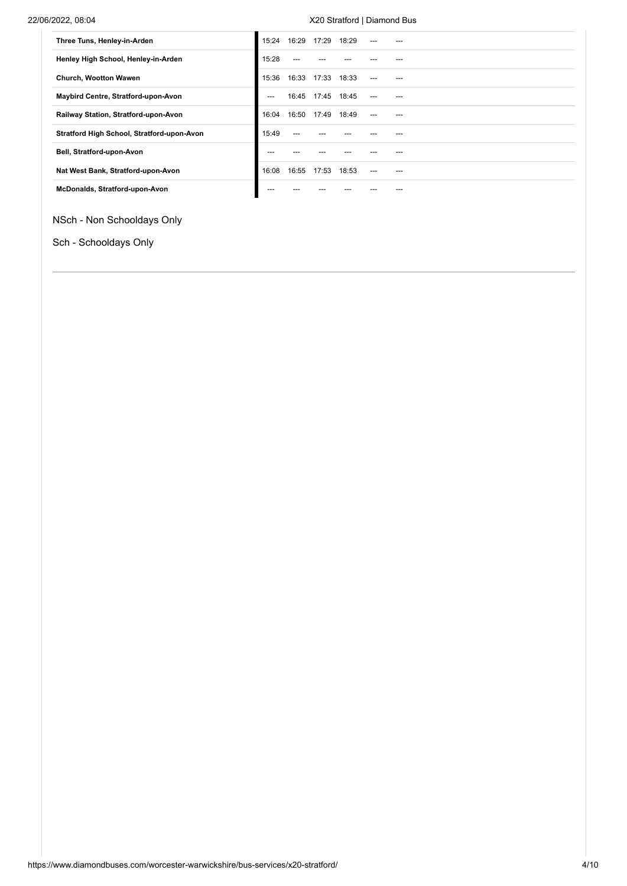### 22/06/2022, 08:04 X20 Stratford | Diamond Bus

| Three Tuns, Henley-in-Arden                | 15:24 | 16:29 | 17:29 | 18:29 |     |  |
|--------------------------------------------|-------|-------|-------|-------|-----|--|
| Henley High School, Henley-in-Arden        | 15:28 |       |       |       |     |  |
| <b>Church, Wootton Wawen</b>               | 15:36 | 16:33 | 17:33 | 18:33 | --- |  |
| Maybird Centre, Stratford-upon-Avon        | $---$ | 16:45 | 17:45 | 18:45 | --- |  |
| Railway Station, Stratford-upon-Avon       | 16:04 | 16:50 | 17:49 | 18:49 | --- |  |
| Stratford High School, Stratford-upon-Avon | 15:49 |       |       |       |     |  |
| Bell, Stratford-upon-Avon                  |       |       |       |       |     |  |
| Nat West Bank, Stratford-upon-Avon         | 16:08 | 16:55 | 17:53 | 18:53 | --- |  |
| McDonalds, Stratford-upon-Avon             |       |       |       |       |     |  |

NSch - Non Schooldays Only

Sch - Schooldays Only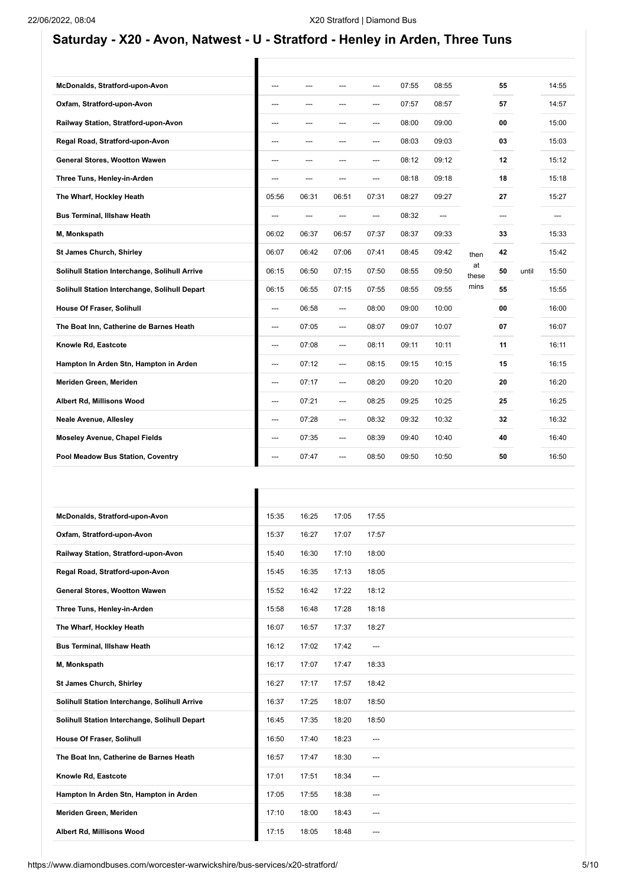## **Saturday - X20 - Avon, Natwest - U - Stratford - Henley in Arden, Three Tuns**

T

Ī

| McDonalds, Stratford-upon-Avon                | ---   |       |       | ---   | 07:55 | 08:55 |             | 55  |       | 14:55 |
|-----------------------------------------------|-------|-------|-------|-------|-------|-------|-------------|-----|-------|-------|
| Oxfam, Stratford-upon-Avon                    | ---   |       | ---   | ---   | 07:57 | 08:57 |             | 57  |       | 14:57 |
| Railway Station, Stratford-upon-Avon          | ---   | ---   | ---   | ---   | 08:00 | 09:00 |             | 00  |       | 15:00 |
| Regal Road, Stratford-upon-Avon               | ---   | ---   | ---   | ---   | 08:03 | 09:03 |             | 03  |       | 15:03 |
| General Stores, Wootton Wawen                 | ---   |       | ---   | ---   | 08:12 | 09:12 |             | 12  |       | 15:12 |
| Three Tuns, Henley-in-Arden                   | ---   |       | ---   | ---   | 08:18 | 09:18 |             | 18  |       | 15:18 |
| The Wharf, Hockley Heath                      | 05:56 | 06:31 | 06:51 | 07:31 | 08:27 | 09:27 |             | 27  |       | 15:27 |
| <b>Bus Terminal, Illshaw Heath</b>            | ---   | ---   | ---   | ---   | 08:32 | ---   |             | --- |       | ---   |
| M, Monkspath                                  | 06:02 | 06:37 | 06:57 | 07:37 | 08:37 | 09:33 |             | 33  |       | 15:33 |
| <b>St James Church, Shirley</b>               | 06:07 | 06:42 | 07:06 | 07:41 | 08:45 | 09:42 | then        | 42  |       | 15:42 |
| Solihull Station Interchange, Solihull Arrive | 06:15 | 06:50 | 07:15 | 07:50 | 08:55 | 09:50 | at<br>these | 50  | until | 15:50 |
| Solihull Station Interchange, Solihull Depart | 06:15 | 06:55 | 07:15 | 07:55 | 08:55 | 09:55 | mins        | 55  |       | 15:55 |
| House Of Fraser, Solihull                     | ---   | 06:58 | ---   | 08:00 | 09:00 | 10:00 |             | 00  |       | 16:00 |
| The Boat Inn, Catherine de Barnes Heath       | ---   | 07:05 | ---   | 08:07 | 09:07 | 10:07 |             | 07  |       | 16:07 |
| Knowle Rd, Eastcote                           | ---   | 07:08 | ---   | 08:11 | 09:11 | 10:11 |             | 11  |       | 16:11 |
| Hampton In Arden Stn, Hampton in Arden        | ---   | 07:12 | ---   | 08:15 | 09:15 | 10:15 |             | 15  |       | 16:15 |
| Meriden Green, Meriden                        | ---   | 07:17 | ---   | 08:20 | 09:20 | 10:20 |             | 20  |       | 16:20 |
| Albert Rd, Millisons Wood                     | ---   | 07:21 | ---   | 08:25 | 09:25 | 10:25 |             | 25  |       | 16:25 |
| <b>Neale Avenue, Allesley</b>                 | ---   | 07:28 | ---   | 08:32 | 09:32 | 10:32 |             | 32  |       | 16:32 |
| Moseley Avenue, Chapel Fields                 | ---   | 07:35 | ---   | 08:39 | 09:40 | 10:40 |             | 40  |       | 16:40 |
| Pool Meadow Bus Station, Coventry             | ---   | 07:47 | ---   | 08:50 | 09:50 | 10:50 |             | 50  |       | 16:50 |

| McDonalds, Stratford-upon-Avon                | 15:35 | 16:25 | 17:05 | 17:55 |
|-----------------------------------------------|-------|-------|-------|-------|
| Oxfam, Stratford-upon-Avon                    | 15:37 | 16:27 | 17:07 | 17:57 |
| Railway Station, Stratford-upon-Avon          | 15:40 | 16:30 | 17:10 | 18:00 |
| Regal Road, Stratford-upon-Avon               | 15:45 | 16:35 | 17:13 | 18:05 |
| General Stores, Wootton Wawen                 | 15:52 | 16:42 | 17:22 | 18:12 |
| Three Tuns, Henley-in-Arden                   | 15:58 | 16:48 | 17:28 | 18:18 |
| The Wharf, Hockley Heath                      | 16:07 | 16:57 | 17:37 | 18:27 |
| <b>Bus Terminal, Illshaw Heath</b>            | 16:12 | 17:02 | 17:42 | ---   |
| M, Monkspath                                  | 16:17 | 17:07 | 17:47 | 18:33 |
| <b>St James Church, Shirley</b>               | 16:27 | 17:17 | 17:57 | 18:42 |
| Solihull Station Interchange, Solihull Arrive | 16:37 | 17:25 | 18:07 | 18:50 |
| Solihull Station Interchange, Solihull Depart | 16:45 | 17:35 | 18:20 | 18:50 |
| House Of Fraser, Solihull                     | 16:50 | 17:40 | 18:23 | $---$ |
| The Boat Inn, Catherine de Barnes Heath       | 16:57 | 17:47 | 18:30 | ---   |
| Knowle Rd, Eastcote                           | 17:01 | 17:51 | 18:34 | ---   |
| Hampton In Arden Stn, Hampton in Arden        | 17:05 | 17:55 | 18:38 | ---   |
| Meriden Green, Meriden                        | 17:10 | 18:00 | 18:43 | $---$ |
| Albert Rd, Millisons Wood                     | 17:15 | 18:05 | 18:48 | ---   |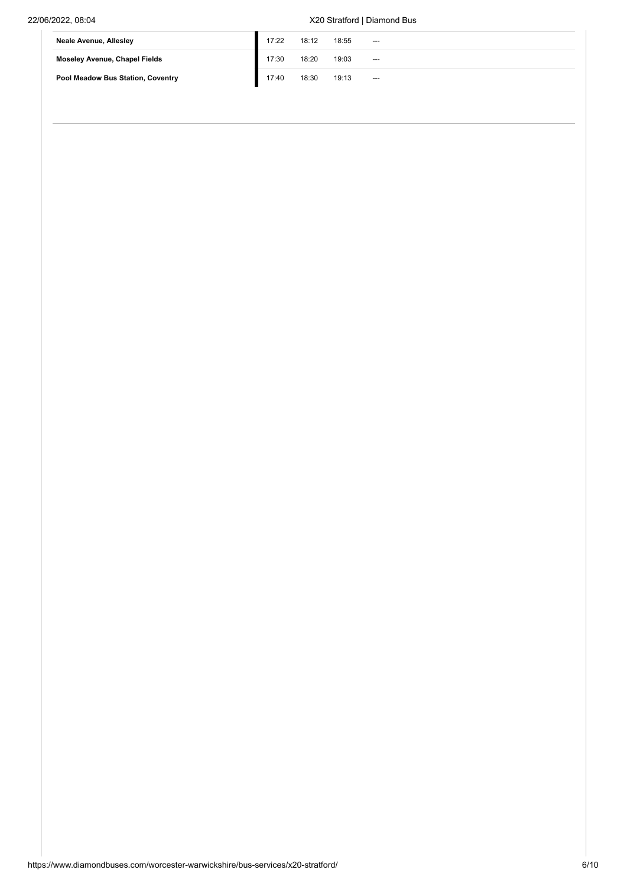### 22/06/2022, 08:04 X20 Stratford | Diamond Bus

| <b>Neale Avenue, Allesley</b>        | 17:22 | 18:12 | 18:55 | --- |
|--------------------------------------|-------|-------|-------|-----|
| <b>Moseley Avenue, Chapel Fields</b> | 17:30 | 18:20 | 19:03 | --- |
| Pool Meadow Bus Station, Coventry    | 17:40 | 18:30 | 19:13 | --- |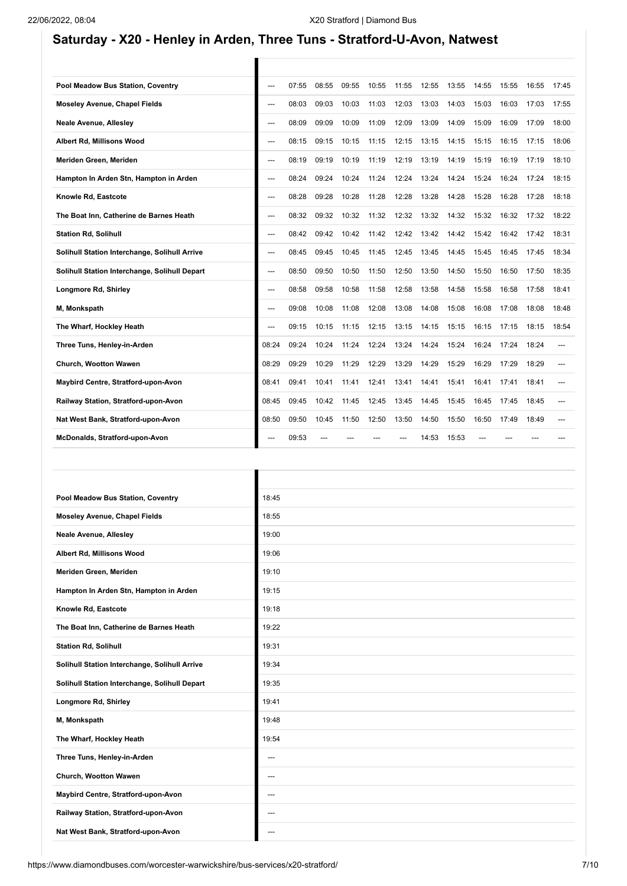## **Saturday - X20 - Henley in Arden, Three Tuns - Stratford-U-Avon, Natwest**

T

Ī

| ---   | 07:55 | 08:55 | 09:55 | 10:55 | 11:55 | 12:55 | 13:55 | 14:55 | 15:55 | 16:55 | 17:45 |
|-------|-------|-------|-------|-------|-------|-------|-------|-------|-------|-------|-------|
| ---   | 08:03 | 09:03 | 10:03 | 11:03 | 12:03 | 13:03 | 14:03 | 15:03 | 16:03 | 17:03 | 17:55 |
| ---   | 08:09 | 09:09 | 10:09 | 11:09 | 12:09 | 13:09 | 14:09 | 15:09 | 16:09 | 17:09 | 18:00 |
| ---   | 08:15 | 09:15 | 10:15 | 11:15 | 12:15 | 13:15 | 14:15 | 15:15 | 16:15 | 17:15 | 18:06 |
| ---   | 08:19 | 09:19 | 10:19 | 11:19 | 12:19 | 13:19 | 14:19 | 15:19 | 16:19 | 17:19 | 18:10 |
| ---   | 08:24 | 09:24 | 10:24 | 11:24 | 12:24 | 13:24 | 14:24 | 15:24 | 16:24 | 17:24 | 18:15 |
| ---   | 08:28 | 09:28 | 10:28 | 11:28 | 12:28 | 13:28 | 14:28 | 15:28 | 16:28 | 17:28 | 18:18 |
| ---   | 08:32 | 09:32 | 10:32 | 11:32 | 12:32 | 13:32 | 14:32 | 15:32 | 16:32 | 17:32 | 18:22 |
| ---   | 08:42 | 09:42 | 10:42 | 11:42 | 12:42 | 13:42 | 14:42 | 15:42 | 16:42 | 17:42 | 18:31 |
| ---   | 08:45 | 09:45 | 10:45 | 11:45 | 12:45 | 13:45 | 14:45 | 15:45 | 16:45 | 17:45 | 18:34 |
| ---   | 08:50 | 09:50 | 10:50 | 11:50 | 12:50 | 13:50 | 14:50 | 15:50 | 16:50 | 17:50 | 18:35 |
| ---   | 08:58 | 09:58 | 10:58 | 11:58 | 12:58 | 13:58 | 14:58 | 15:58 | 16:58 | 17:58 | 18:41 |
| ---   | 09:08 | 10:08 | 11:08 | 12:08 | 13:08 | 14:08 | 15:08 | 16:08 | 17:08 | 18:08 | 18:48 |
| ---   | 09:15 | 10:15 | 11:15 | 12:15 | 13:15 | 14:15 | 15:15 | 16:15 | 17:15 | 18:15 | 18:54 |
| 08:24 | 09:24 | 10:24 | 11:24 | 12:24 | 13:24 | 14:24 | 15:24 | 16:24 | 17:24 | 18:24 | ---   |
| 08:29 | 09:29 | 10:29 | 11:29 | 12:29 | 13:29 | 14:29 | 15:29 | 16:29 | 17:29 | 18:29 | ---   |
| 08:41 | 09:41 | 10:41 | 11:41 | 12:41 | 13:41 | 14:41 | 15:41 | 16:41 | 17:41 | 18:41 |       |
| 08:45 | 09:45 | 10:42 | 11:45 | 12:45 | 13:45 | 14:45 | 15:45 | 16:45 | 17:45 | 18:45 |       |
| 08:50 | 09:50 | 10:45 | 11:50 | 12:50 | 13:50 | 14:50 | 15:50 | 16:50 | 17:49 | 18:49 |       |
| ---   | 09:53 |       |       |       |       | 14:53 | 15:53 |       |       |       |       |
|       |       |       |       |       |       |       |       |       |       |       |       |

| Pool Meadow Bus Station, Coventry             | 18:45 |
|-----------------------------------------------|-------|
| Moseley Avenue, Chapel Fields                 | 18:55 |
| <b>Neale Avenue, Allesley</b>                 | 19:00 |
| Albert Rd, Millisons Wood                     | 19:06 |
| Meriden Green, Meriden                        | 19:10 |
| Hampton In Arden Stn, Hampton in Arden        | 19:15 |
| Knowle Rd, Eastcote                           | 19:18 |
| The Boat Inn, Catherine de Barnes Heath       | 19:22 |
| <b>Station Rd, Solihull</b>                   | 19:31 |
| Solihull Station Interchange, Solihull Arrive | 19:34 |
| Solihull Station Interchange, Solihull Depart | 19:35 |
| Longmore Rd, Shirley                          | 19:41 |
| M, Monkspath                                  | 19:48 |
| The Wharf, Hockley Heath                      | 19:54 |
| Three Tuns, Henley-in-Arden                   | ---   |
| Church, Wootton Wawen                         | ---   |
| Maybird Centre, Stratford-upon-Avon           | ---   |
| Railway Station, Stratford-upon-Avon          | ---   |
| Nat West Bank, Stratford-upon-Avon            | ---   |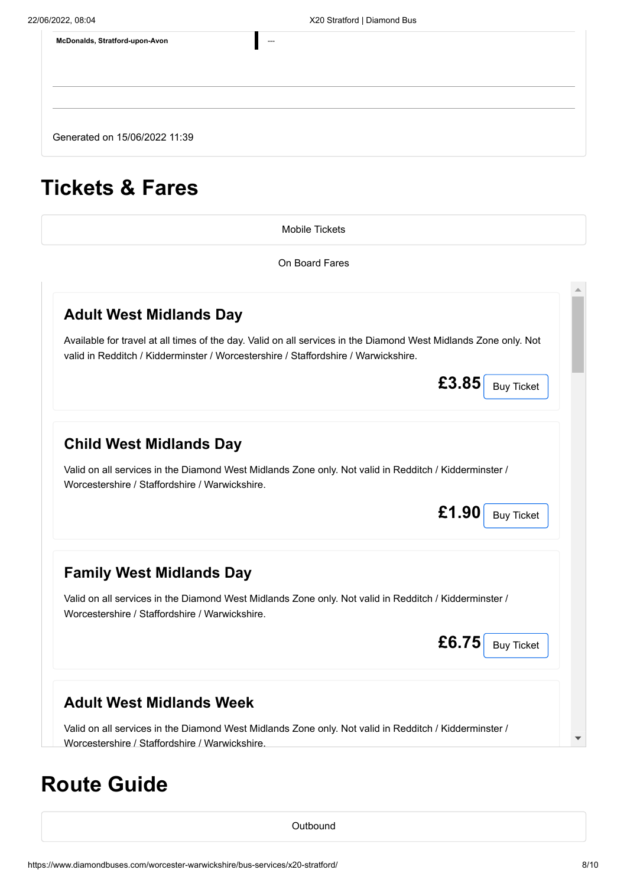| McDonalds, Stratford-upon-Avon | $---$ |
|--------------------------------|-------|
|                                |       |
|                                |       |
|                                |       |
| Generated on 15/06/2022 11:39  |       |

# **Tickets & Fares**

[Mobile Tickets](#page-7-0)

On Board Fares

<span id="page-7-0"></span>

| <b>Adult West Midlands Day</b>                                                                                                                                                                        |                            |
|-------------------------------------------------------------------------------------------------------------------------------------------------------------------------------------------------------|----------------------------|
| Available for travel at all times of the day. Valid on all services in the Diamond West Midlands Zone only. Not<br>valid in Redditch / Kidderminster / Worcestershire / Staffordshire / Warwickshire. |                            |
|                                                                                                                                                                                                       | £3.85<br><b>Buy Ticket</b> |
| <b>Child West Midlands Day</b>                                                                                                                                                                        |                            |
| Valid on all services in the Diamond West Midlands Zone only. Not valid in Redditch / Kidderminster /<br>Worcestershire / Staffordshire / Warwickshire.                                               |                            |
|                                                                                                                                                                                                       | £1.90<br><b>Buy Ticket</b> |
| <b>Family West Midlands Day</b>                                                                                                                                                                       |                            |
|                                                                                                                                                                                                       |                            |
| Valid on all services in the Diamond West Midlands Zone only. Not valid in Redditch / Kidderminster /<br>Worcestershire / Staffordshire / Warwickshire.                                               |                            |
|                                                                                                                                                                                                       | £6.75<br><b>Buy Ticket</b> |
|                                                                                                                                                                                                       |                            |
| <b>Adult West Midlands Week</b><br>Valid on all services in the Diamond West Midlands Zone only. Not valid in Redditch / Kidderminster /                                                              |                            |

# **Route Guide**

**[Outbound](#page-8-0)**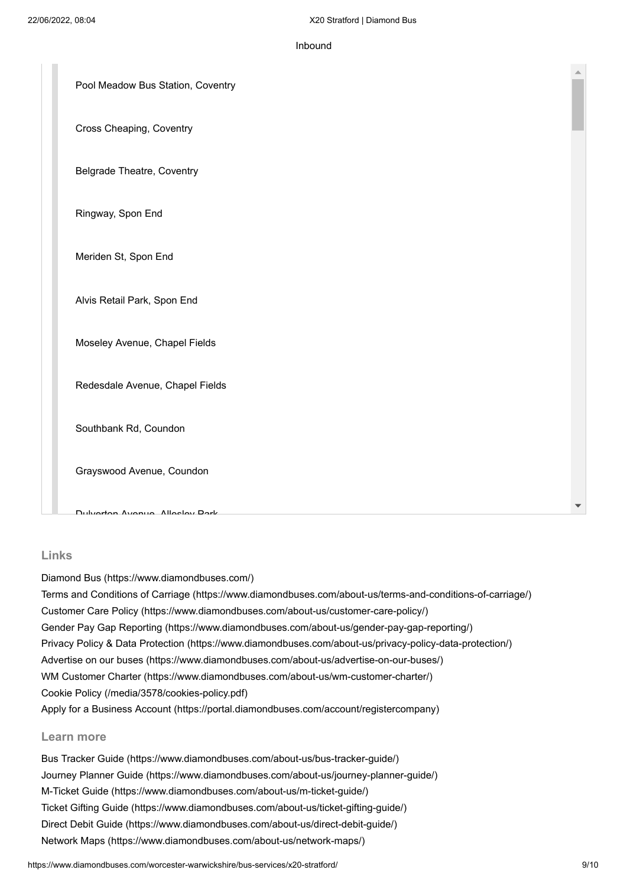#### Inbound

<span id="page-8-0"></span>

| Pool Meadow Bus Station, Coventry |
|-----------------------------------|
| Cross Cheaping, Coventry          |
| <b>Belgrade Theatre, Coventry</b> |
| Ringway, Spon End                 |
| Meriden St, Spon End              |
| Alvis Retail Park, Spon End       |
| Moseley Avenue, Chapel Fields     |
| Redesdale Avenue, Chapel Fields   |
| Southbank Rd, Coundon             |
| Grayswood Avenue, Coundon         |
| Dubjecton Avenue Alloelou Dork    |

#### **Links**

[Diamond Bus \(https://www.diamondbuses.com/\)](https://www.diamondbuses.com/)

[Terms and Conditions of Carriage \(https://www.diamondbuses.com/about-us/terms-and-conditions-of-carriage/\)](https://www.diamondbuses.com/about-us/terms-and-conditions-of-carriage/) [Customer Care Policy \(https://www.diamondbuses.com/about-us/customer-care-policy/\)](https://www.diamondbuses.com/about-us/customer-care-policy/) [Gender Pay Gap Reporting \(https://www.diamondbuses.com/about-us/gender-pay-gap-reporting/\)](https://www.diamondbuses.com/about-us/gender-pay-gap-reporting/) [Privacy Policy & Data Protection \(https://www.diamondbuses.com/about-us/privacy-policy-data-protection/\)](https://www.diamondbuses.com/about-us/privacy-policy-data-protection/) [Advertise on our buses \(https://www.diamondbuses.com/about-us/advertise-on-our-buses/\)](https://www.diamondbuses.com/about-us/advertise-on-our-buses/) [WM Customer Charter \(https://www.diamondbuses.com/about-us/wm-customer-charter/\)](https://www.diamondbuses.com/about-us/wm-customer-charter/) [Cookie Policy \(/media/3578/cookies-policy.pdf\)](https://www.diamondbuses.com/media/3578/cookies-policy.pdf) [Apply for a Business Account \(https://portal.diamondbuses.com/account/registercompany\)](https://portal.diamondbuses.com/account/registercompany)

#### **Learn more**

[Bus Tracker Guide \(https://www.diamondbuses.com/about-us/bus-tracker-guide/\)](https://www.diamondbuses.com/about-us/bus-tracker-guide/) [Journey Planner Guide \(https://www.diamondbuses.com/about-us/journey-planner-guide/\)](https://www.diamondbuses.com/about-us/journey-planner-guide/) [M-Ticket Guide \(https://www.diamondbuses.com/about-us/m-ticket-guide/\)](https://www.diamondbuses.com/about-us/m-ticket-guide/) [Ticket Gifting Guide \(https://www.diamondbuses.com/about-us/ticket-gifting-guide/\)](https://www.diamondbuses.com/about-us/ticket-gifting-guide/) [Direct Debit Guide \(https://www.diamondbuses.com/about-us/direct-debit-guide/\)](https://www.diamondbuses.com/about-us/direct-debit-guide/) [Network Maps \(https://www.diamondbuses.com/about-us/network-maps/\)](https://www.diamondbuses.com/about-us/network-maps/)